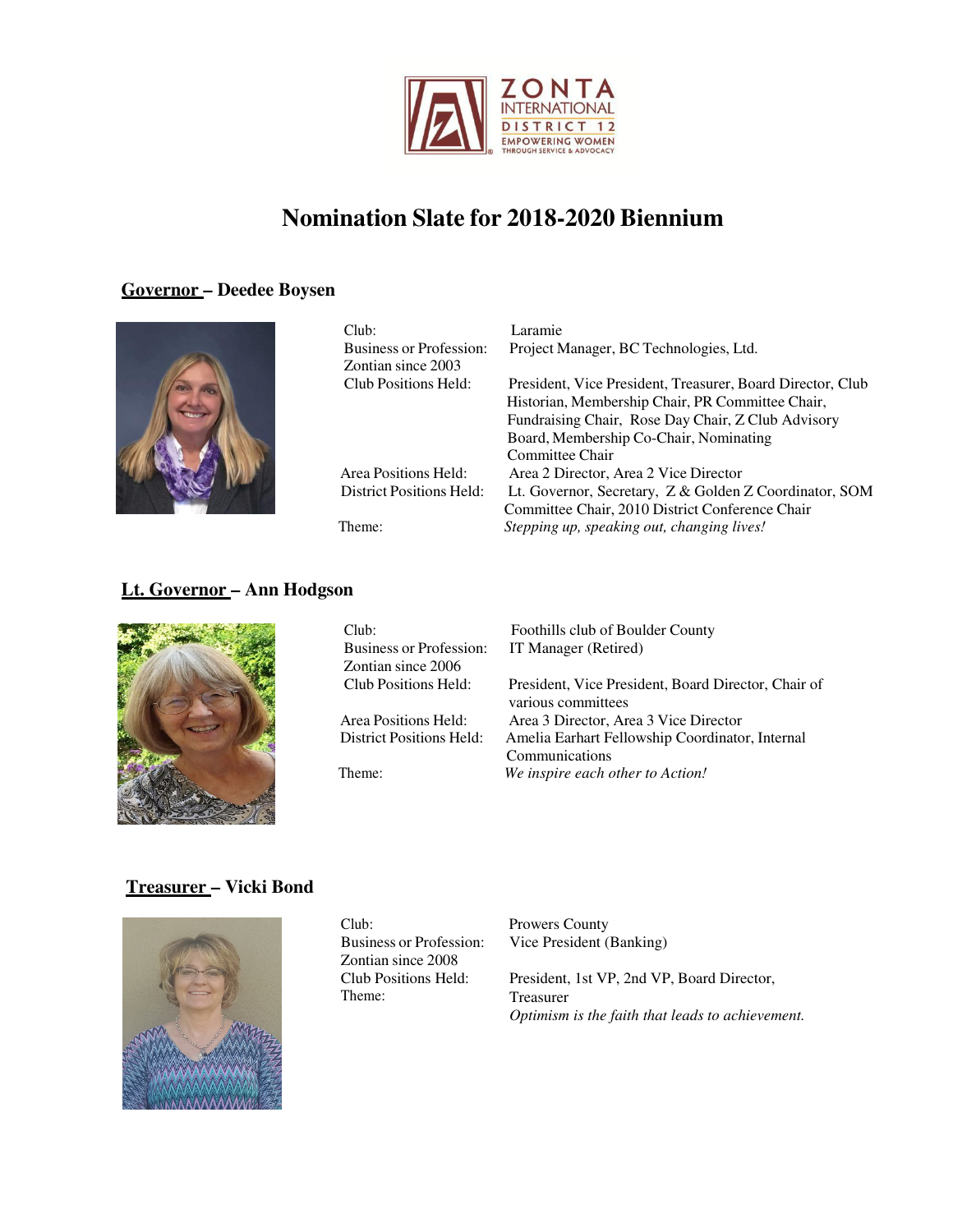

## **Governor – Deedee Boysen**



| Club:<br><b>Business or Profession:</b><br>Zontian since 2003 | Laramie<br>Project Manager, BC Technologies, Ltd.          |
|---------------------------------------------------------------|------------------------------------------------------------|
| Club Positions Held:                                          | President, Vice President, Treasurer, Board Director, Club |
|                                                               | Historian, Membership Chair, PR Committee Chair,           |
|                                                               | Fundraising Chair, Rose Day Chair, Z Club Advisory         |
|                                                               | Board, Membership Co-Chair, Nominating                     |
|                                                               | Committee Chair                                            |
| Area Positions Held:                                          | Area 2 Director, Area 2 Vice Director                      |
| District Positions Held:                                      | Lt. Governor, Secretary, Z & Golden Z Coordinator, SOM     |
|                                                               | Committee Chair, 2010 District Conference Chair            |
| Theme:                                                        | Stepping up, speaking out, changing lives!                 |

## **Lt. Governor – Ann Hodgson**



| Club:<br><b>Business or Profession:</b><br>Zontian since 2006 | Foothills club of Boulder County<br>IT Manager (Retired)                  |
|---------------------------------------------------------------|---------------------------------------------------------------------------|
| Club Positions Held:                                          | President, Vice President, Board Director, Chair of<br>various committees |
| Area Positions Held:                                          | Area 3 Director, Area 3 Vice Director                                     |
| <b>District Positions Held:</b>                               | Amelia Earhart Fellowship Coordinator, Internal<br>Communications         |
| Theme:                                                        | We inspire each other to Action!                                          |

#### **Treasurer – Vicki Bond**



| Club:                   |
|-------------------------|
| Business or Profession: |
| Zontian since 2008      |
| Club Positions Held:    |
| Theme:                  |

Prowers County Vice President (Banking)

President, 1st VP, 2nd VP, Board Director, Treasurer *Optimism is the faith that leads to achievement.*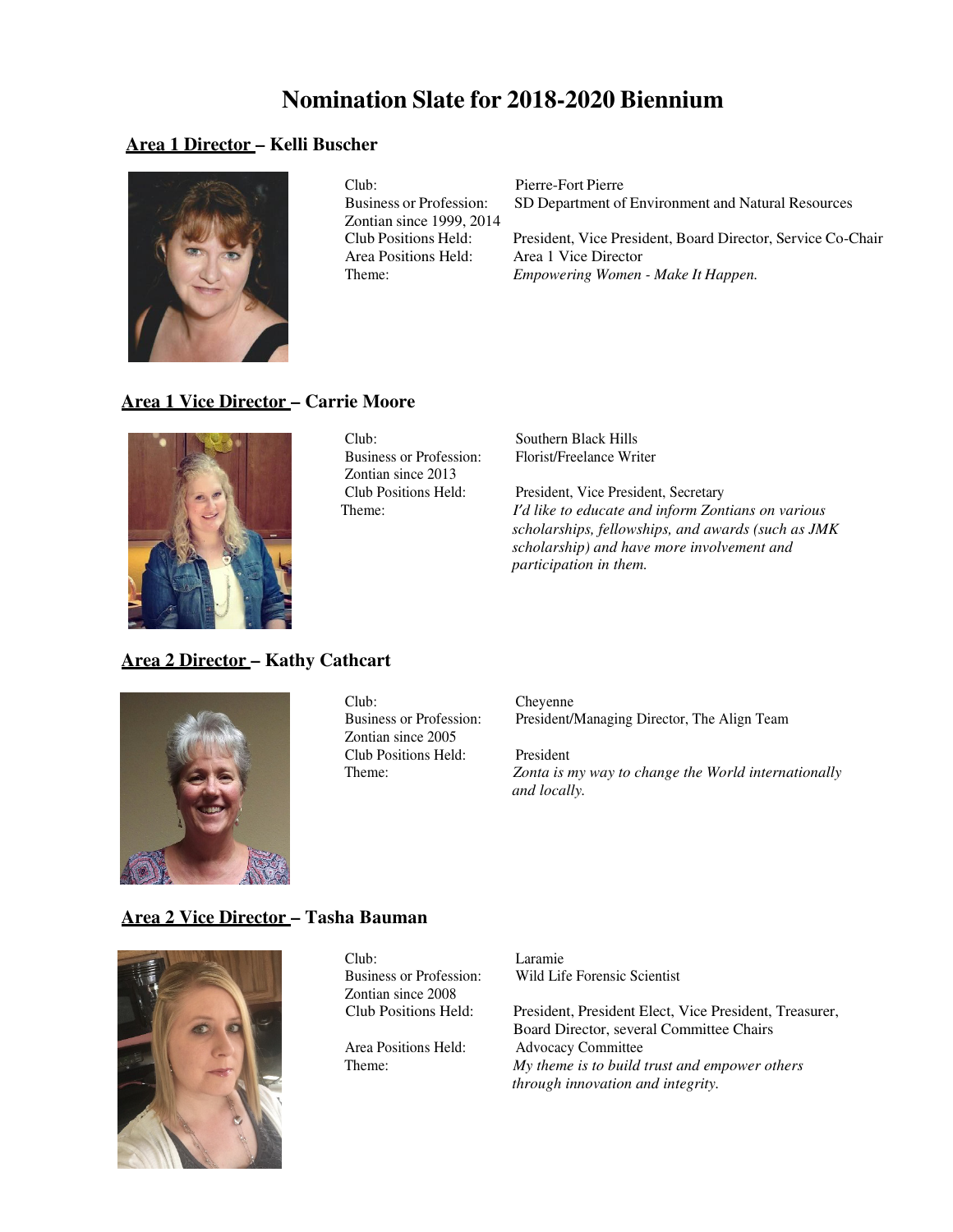#### **Area 1 Director – Kelli Buscher**



Club: Pierre-Fort Pierre<br>Business or Profession: SD Department of Zontian since 1999, 2014

SD Department of Environment and Natural Resources

Club Positions Held: President, Vice President, Board Director, Service Co-Chair Area 1 Vice Director Theme: *Empowering Women - Make It Happen.*

### **Area 1 Vice Director – Carrie Moore**



Club: Southern Black Hills Zontian since 2013<br>Club Positions Held:

Business or Profession: Florist/Freelance Writer

President, Vice President, Secretary Theme: *I'd like to educate and inform Zontians on various scholarships, fellowships, and awards (such as JMK scholarship) and have more involvement and participation in them.*

#### **Area 2 Director – Kathy Cathcart**



Club: Cheyenne<br>Business or Profession: President/ Zontian since 2005 Club Positions Held: President

President/Managing Director, The Align Team

Theme: *Zonta is my way to change the World internationally and locally.*

#### **Area 2 Vice Director – Tasha Bauman**



| Club:                          | Laramie                                                |
|--------------------------------|--------------------------------------------------------|
| <b>Business or Profession:</b> | Wild Life Forensic Scientist                           |
| Zontian since 2008             |                                                        |
| Club Positions Held:           | President, President Elect, Vice President, Treasurer, |
|                                | Board Director, several Committee Chairs               |
| Area Positions Held:           | <b>Advocacy Committee</b>                              |
| Theme:                         | My theme is to build trust and empower others          |
|                                | through innovation and integrity.                      |
|                                |                                                        |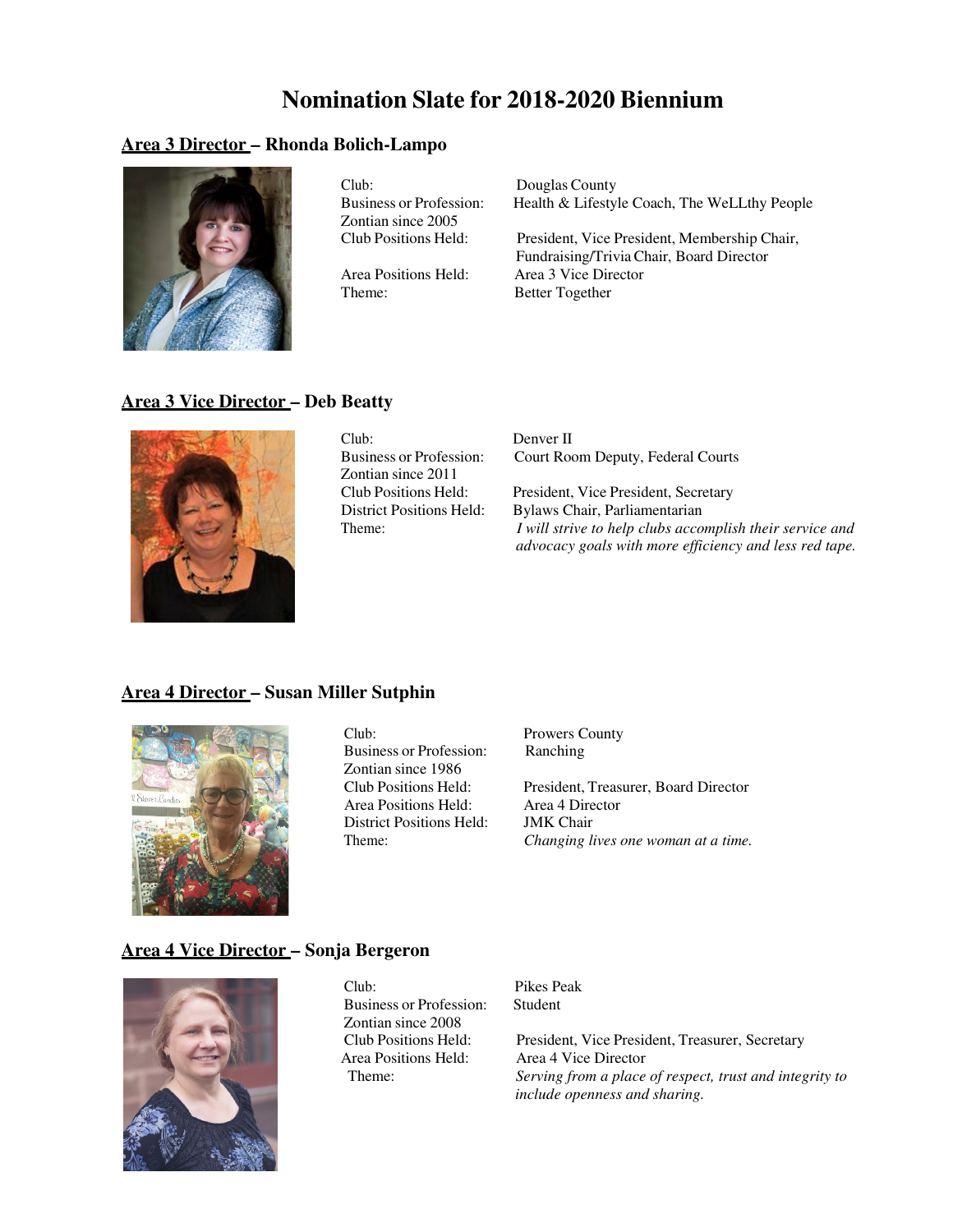#### **Area 3 Director – Rhonda Bolich-Lampo**



Club: Douglas County<br>Business or Profession: Health & Lifestyl Zontian since 2005

Theme: Better Together

Health & Lifestyle Coach, The WeLLthy People

Club Positions Held: President, Vice President, Membership Chair, Fundraising/Trivia Chair, Board Director Area Positions Held: Area 3 Vice Director

#### **Area 3 Vice Director – Deb Beatty**



Club: Denver II Zontian since 2011<br>Club Positions Held:

Business or Profession: Court Room Deputy, Federal Courts

President, Vice President, Secretary District Positions Held: Bylaws Chair, Parliamentarian Theme: *I will strive to help clubs accomplish their service and advocacy goals with more efficiency and less red tape.*

### **Area 4 Director – Susan Miller Sutphin**



Club: Prowers County Business or Profession: Ranching Zontian since 1986<br>Club Positions Held: Area Positions Held: Area 4 Dire<br>District Positions Held: JMK Chair District Positions Held:

President, Treasurer, Board Director<br>Area 4 Director Theme: *Changing lives one woman at a time.*

#### **Area 4 Vice Director – Sonja Bergeron**



Club: Pikes Peak Business or Profession: Student Zontian since 2008 Area Positions Held: Area 4 Vice Director

Club Positions Held: President, Vice President, Treasurer, Secretary Theme: *Serving from a place of respect, trust and integrity to include openness and sharing.*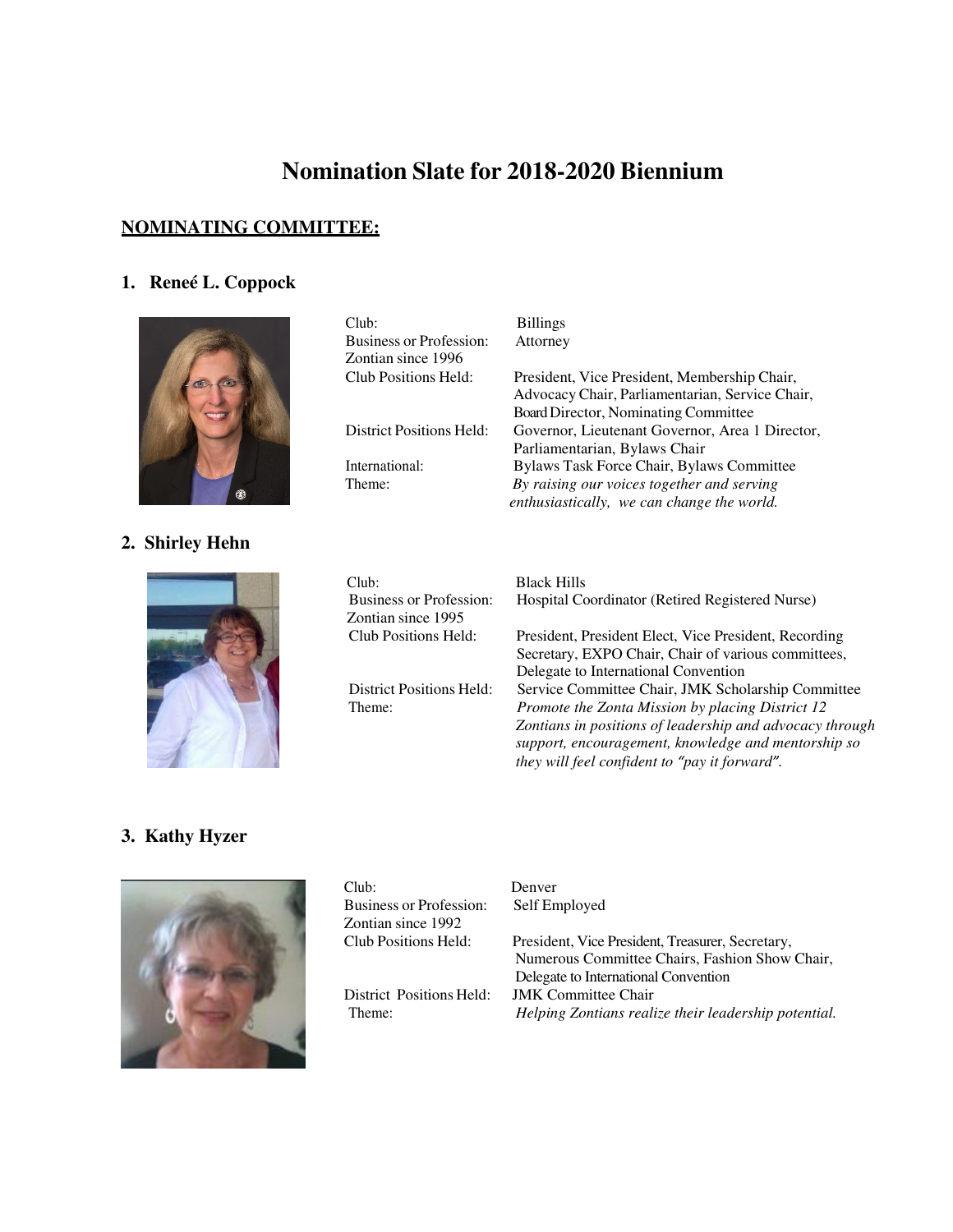## **NOMINATING COMMITTEE:**

# **1. Reneé L. Coppock**



# **2. Shirley Hehn**



| Club:                           | <b>Billings</b>                                 |
|---------------------------------|-------------------------------------------------|
| <b>Business or Profession:</b>  | Attorney                                        |
| Zontian since 1996              |                                                 |
| Club Positions Held:            | President, Vice President, Membership Chair,    |
|                                 | Advocacy Chair, Parliamentarian, Service Chair, |
|                                 | Board Director, Nominating Committee            |
| <b>District Positions Held:</b> | Governor, Lieutenant Governor, Area 1 Director, |
|                                 | Parliamentarian, Bylaws Chair                   |
| International:                  | Bylaws Task Force Chair, Bylaws Committee       |
| Theme:                          | By raising our voices together and serving      |
|                                 | enthusiastically, we can change the world.      |
|                                 |                                                 |

| Club:<br><b>Business or Profession:</b><br>Zontian since 1995 | <b>Black Hills</b><br>Hospital Coordinator (Retired Registered Nurse)                                                                                                                                                                                                      |
|---------------------------------------------------------------|----------------------------------------------------------------------------------------------------------------------------------------------------------------------------------------------------------------------------------------------------------------------------|
| Club Positions Held:                                          | President, President Elect, Vice President, Recording<br>Secretary, EXPO Chair, Chair of various committees,<br>Delegate to International Convention                                                                                                                       |
| <b>District Positions Held:</b><br>Theme:                     | Service Committee Chair, JMK Scholarship Committee<br>Promote the Zonta Mission by placing District 12<br>Zontians in positions of leadership and advocacy through<br>support, encouragement, knowledge and mentorship so<br>they will feel confident to "pay it forward". |

## **3. Kathy Hyzer**



| Club:                                                | Denver                                                                                                                                     |
|------------------------------------------------------|--------------------------------------------------------------------------------------------------------------------------------------------|
| <b>Business or Profession:</b><br>Zontian since 1992 | Self Employed                                                                                                                              |
| Club Positions Held:                                 | President, Vice President, Treasurer, Secretary,<br>Numerous Committee Chairs, Fashion Show Chair,<br>Delegate to International Convention |
| District Positions Held:<br>Theme:                   | <b>JMK</b> Committee Chair<br>Helping Zontians realize their leadership potential.                                                         |